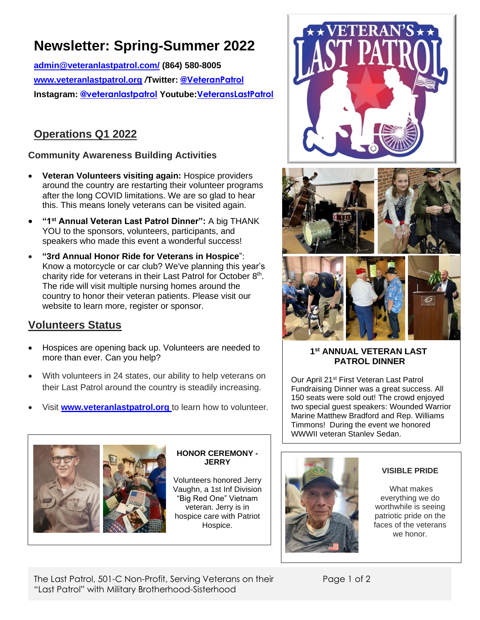# **Newsletter: Spring-Summer 2022**

**[admin@veteranlastpatrol.com/](mailto:admin@veteranlastpatrol.com/) (864) 580-8005 [www.veteranlastpatrol.org](http://www.veteranlastpatrol.org/)** */***Twitter: @VeteranPatrol Instagram: @veteranlastpatrol Youtube:[VeteransLastPatrol](https://www.youtube.com/channel/UCBMZ2eQqqR-p3FQlPslKyYg/featured)**

# **Operations Q1 2022**

### **Community Awareness Building Activities**

- **Veteran Volunteers visiting again:** Hospice providers around the country are restarting their volunteer programs after the long COVID limitations. We are so glad to hear this. This means lonely veterans can be visited again.
- **"1st Annual Veteran Last Patrol Dinner":** A big THANK YOU to the sponsors, volunteers, participants, and speakers who made this event a wonderful success!
- **"3rd Annual Honor Ride for Veterans in Hospice**": Know a motorcycle or car club? We've planning this year's charity ride for veterans in their Last Patrol for October 8<sup>th</sup>. The ride will visit multiple nursing homes around the country to honor their veteran patients. Please visit [our](http://www.veteranlastpatrol.org/) website to learn more, register or sponsor.

## **Volunteers Status**

- Hospices are opening back up. Volunteers are needed to more than ever. Can you help?
- With volunteers in 24 states, our ability to help veterans on their Last Patrol around the country is steadily increasing.
- Visit **[www.veteranlastpatrol.org](http://www.veteranlastpatrol.org/)** to learn how to volunteer.



#### **HONOR CEREMONY - JERRY**

Volunteers honored Jerry Vaughn, a 1st Inf Division "Big Red One" Vietnam veteran. Jerry is in hospice care with Patriot Hospice.







#### **1 st ANNUAL VETERAN LAST PATROL DINNER**

Our April 21st First Veteran Last Patrol Fundraising Dinner was a great success. All 150 seats were sold out! The crowd enjoyed two special guest speakers: Wounded Warrior Marine Matthew Bradford and Rep. Williams Timmons! During the event we honored WWWII veteran Stanley Sedan.



### **VISIBLE PRIDE**

What makes everything we do worthwhile is seeing patriotic pride on the faces of the veterans we honor.

The Last Patrol, 501-C Non-Profit, Serving Veterans on their "Last Patrol" with Military Brotherhood-Sisterhood

Page 1 of 2